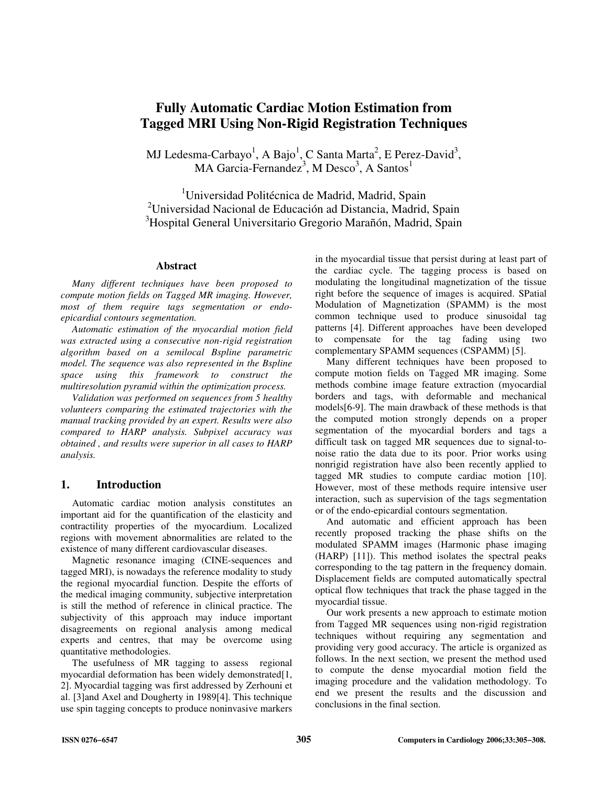# **Fully Automatic Cardiac Motion Estimation from Tagged MRI Using Non-Rigid Registration Techniques**

MJ Ledesma-Carbayo<sup>1</sup>, A Bajo<sup>1</sup>, C Santa Marta<sup>2</sup>, E Perez-David<sup>3</sup>, MA Garcia-Fernandez<sup>3</sup>, M Desco<sup>3</sup>, A Santos<sup>1</sup>

<sup>1</sup>Universidad Politécnica de Madrid, Madrid, Spain <sup>2</sup>Universidad Nacional de Educación ad Distancia, Madrid, Spain <sup>3</sup>Hospital General Universitario Gregorio Marañón, Madrid, Spain

#### **Abstract**

*Many different techniques have been proposed to compute motion fields on Tagged MR imaging. However, most of them require tags segmentation or endoepicardial contours segmentation.* 

*Automatic estimation of the myocardial motion field was extracted using a consecutive non-rigid registration algorithm based on a semilocal Bspline parametric model. The sequence was also represented in the Bspline space using this framework to construct the multiresolution pyramid within the optimization process.* 

*Validation was performed on sequences from 5 healthy volunteers comparing the estimated trajectories with the manual tracking provided by an expert. Results were also compared to HARP analysis. Subpixel accuracy was obtained , and results were superior in all cases to HARP analysis.* 

### **1. Introduction**

Automatic cardiac motion analysis constitutes an important aid for the quantification of the elasticity and contractility properties of the myocardium. Localized regions with movement abnormalities are related to the existence of many different cardiovascular diseases.

Magnetic resonance imaging (CINE-sequences and tagged MRI), is nowadays the reference modality to study the regional myocardial function. Despite the efforts of the medical imaging community, subjective interpretation is still the method of reference in clinical practice. The subjectivity of this approach may induce important disagreements on regional analysis among medical experts and centres, that may be overcome using quantitative methodologies.

The usefulness of MR tagging to assess regional myocardial deformation has been widely demonstrated[1, 2]. Myocardial tagging was first addressed by Zerhouni et al. [3]and Axel and Dougherty in 1989[4]. This technique use spin tagging concepts to produce noninvasive markers

in the myocardial tissue that persist during at least part of the cardiac cycle. The tagging process is based on modulating the longitudinal magnetization of the tissue right before the sequence of images is acquired. SPatial Modulation of Magnetization (SPAMM) is the most common technique used to produce sinusoidal tag patterns [4]. Different approaches have been developed to compensate for the tag fading using two complementary SPAMM sequences (CSPAMM) [5].

Many different techniques have been proposed to compute motion fields on Tagged MR imaging. Some methods combine image feature extraction (myocardial borders and tags, with deformable and mechanical models[6-9]. The main drawback of these methods is that the computed motion strongly depends on a proper segmentation of the myocardial borders and tags a difficult task on tagged MR sequences due to signal-tonoise ratio the data due to its poor. Prior works using nonrigid registration have also been recently applied to tagged MR studies to compute cardiac motion [10]. However, most of these methods require intensive user interaction, such as supervision of the tags segmentation or of the endo-epicardial contours segmentation.

And automatic and efficient approach has been recently proposed tracking the phase shifts on the modulated SPAMM images (Harmonic phase imaging (HARP) [11]). This method isolates the spectral peaks corresponding to the tag pattern in the frequency domain. Displacement fields are computed automatically spectral optical flow techniques that track the phase tagged in the myocardial tissue.

Our work presents a new approach to estimate motion from Tagged MR sequences using non-rigid registration techniques without requiring any segmentation and providing very good accuracy. The article is organized as follows. In the next section, we present the method used to compute the dense myocardial motion field the imaging procedure and the validation methodology. To end we present the results and the discussion and conclusions in the final section.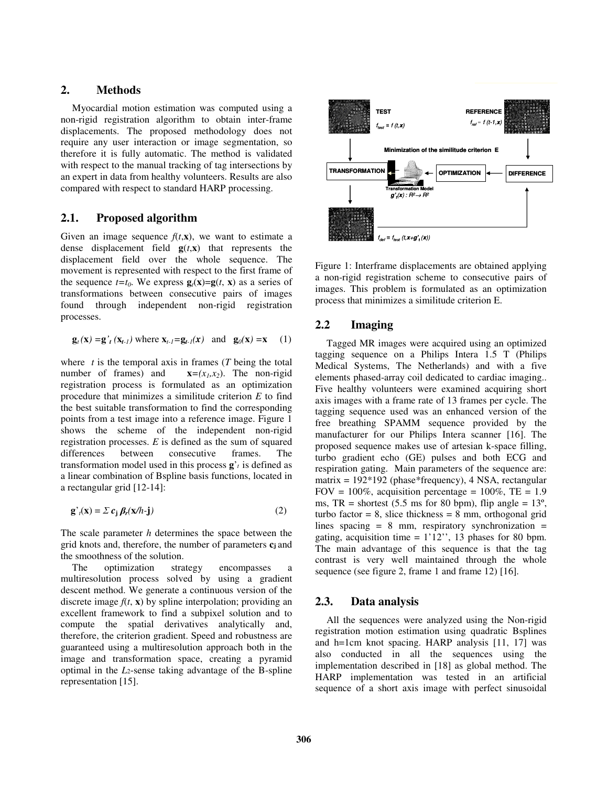### **2. Methods**

Myocardial motion estimation was computed using a non-rigid registration algorithm to obtain inter-frame displacements. The proposed methodology does not require any user interaction or image segmentation, so therefore it is fully automatic. The method is validated with respect to the manual tracking of tag intersections by an expert in data from healthy volunteers. Results are also compared with respect to standard HARP processing.

### **2.1. Proposed algorithm**

Given an image sequence  $f(t, \mathbf{x})$ , we want to estimate a dense displacement field  $g(t, x)$  that represents the displacement field over the whole sequence. The movement is represented with respect to the first frame of the sequence  $t=t_0$ . We express  $\mathbf{g}_t(\mathbf{x})=\mathbf{g}(t, \mathbf{x})$  as a series of transformations between consecutive pairs of images found through independent non-rigid registration processes.

$$
\mathbf{g}_{t}(\mathbf{x}) = \mathbf{g}_{t}^{\prime}(\mathbf{x}_{t-1}) \text{ where } \mathbf{x}_{t-1} = \mathbf{g}_{t-1}(\mathbf{x}) \text{ and } \mathbf{g}_{0}(\mathbf{x}) = \mathbf{x} \tag{1}
$$

where  $t$  is the temporal axis in frames ( $T$  being the total number of frames) and  $\mathbf{x} = (x_1, x_2)$ . The non-rigid registration process is formulated as an optimization procedure that minimizes a similitude criterion *E* to find the best suitable transformation to find the corresponding points from a test image into a reference image. Figure 1 shows the scheme of the independent non-rigid registration processes. *E* is defined as the sum of squared differences between consecutive frames. The transformation model used in this process  $\mathbf{g}'$ <sup>*t*</sup> is defined as a linear combination of Bspline basis functions, located in a rectangular grid [12-14]:

$$
\mathbf{g'}_t(\mathbf{x}) = \sum c_j \beta_r(\mathbf{x}/h \cdot \mathbf{j})
$$
 (2)

The scale parameter *h* determines the space between the grid knots and, therefore, the number of parameters **cj** and the smoothness of the solution.

The optimization strategy encompasses a multiresolution process solved by using a gradient descent method. We generate a continuous version of the discrete image  $f(t, x)$  by spline interpolation; providing an excellent framework to find a subpixel solution and to compute the spatial derivatives analytically and, therefore, the criterion gradient. Speed and robustness are guaranteed using a multiresolution approach both in the image and transformation space, creating a pyramid optimal in the *L*2-sense taking advantage of the B-spline representation [15].



Figure 1: Interframe displacements are obtained applying a non-rigid registration scheme to consecutive pairs of images. This problem is formulated as an optimization process that minimizes a similitude criterion E.

#### **2.2 Imaging**

Tagged MR images were acquired using an optimized tagging sequence on a Philips Intera 1.5 T (Philips Medical Systems, The Netherlands) and with a five elements phased-array coil dedicated to cardiac imaging.. Five healthy volunteers were examined acquiring short axis images with a frame rate of 13 frames per cycle. The tagging sequence used was an enhanced version of the free breathing SPAMM sequence provided by the manufacturer for our Philips Intera scanner [16]. The proposed sequence makes use of artesian k-space filling, turbo gradient echo (GE) pulses and both ECG and respiration gating. Main parameters of the sequence are: matrix =  $192*192$  (phase\*frequency), 4 NSA, rectangular FOV = 100%, acquisition percentage =  $100\%$ , TE = 1.9 ms,  $TR =$  shortest (5.5 ms for 80 bpm), flip angle =  $13^{\circ}$ , turbo factor =  $8$ , slice thickness =  $8$  mm, orthogonal grid lines spacing  $= 8$  mm, respiratory synchronization  $=$ gating, acquisition time  $= 1'12''$ , 13 phases for 80 bpm. The main advantage of this sequence is that the tag contrast is very well maintained through the whole sequence (see figure 2, frame 1 and frame 12) [16].

#### **2.3. Data analysis**

All the sequences were analyzed using the Non-rigid registration motion estimation using quadratic Bsplines and h=1cm knot spacing. HARP analysis [11, 17] was also conducted in all the sequences using the implementation described in [18] as global method. The HARP implementation was tested in an artificial sequence of a short axis image with perfect sinusoidal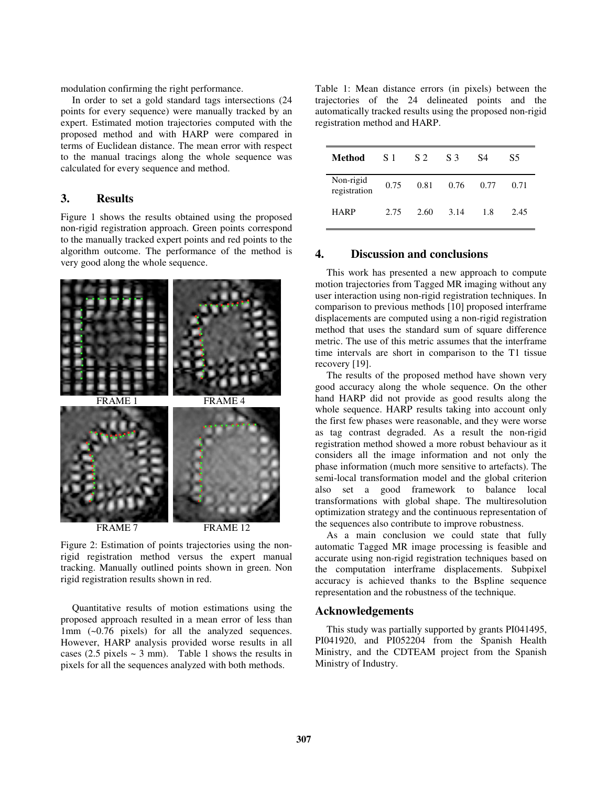modulation confirming the right performance.

In order to set a gold standard tags intersections (24 points for every sequence) were manually tracked by an expert. Estimated motion trajectories computed with the proposed method and with HARP were compared in terms of Euclidean distance. The mean error with respect to the manual tracings along the whole sequence was calculated for every sequence and method.

## **3. Results**

Figure 1 shows the results obtained using the proposed non-rigid registration approach. Green points correspond to the manually tracked expert points and red points to the algorithm outcome. The performance of the method is very good along the whole sequence.



Figure 2: Estimation of points trajectories using the nonrigid registration method versus the expert manual tracking. Manually outlined points shown in green. Non rigid registration results shown in red.

Quantitative results of motion estimations using the proposed approach resulted in a mean error of less than 1mm (~0.76 pixels) for all the analyzed sequences. However, HARP analysis provided worse results in all cases (2.5 pixels  $\sim$  3 mm). Table 1 shows the results in pixels for all the sequences analyzed with both methods.

Table 1: Mean distance errors (in pixels) between the trajectories of the 24 delineated points and the automatically tracked results using the proposed non-rigid registration method and HARP.

| <b>Method</b>             | -S 1 | S 2  | S <sub>3</sub> | S4   | S5   |
|---------------------------|------|------|----------------|------|------|
| Non-rigid<br>registration | 0.75 | 0.81 | 0.76           | 0.77 | 0.71 |
| <b>HARP</b>               | 2.75 | 2.60 | 3.14           | 1.8  | 2.45 |

#### **4. Discussion and conclusions**

This work has presented a new approach to compute motion trajectories from Tagged MR imaging without any user interaction using non-rigid registration techniques. In comparison to previous methods [10] proposed interframe displacements are computed using a non-rigid registration method that uses the standard sum of square difference metric. The use of this metric assumes that the interframe time intervals are short in comparison to the T1 tissue recovery [19].

The results of the proposed method have shown very good accuracy along the whole sequence. On the other hand HARP did not provide as good results along the whole sequence. HARP results taking into account only the first few phases were reasonable, and they were worse as tag contrast degraded. As a result the non-rigid registration method showed a more robust behaviour as it considers all the image information and not only the phase information (much more sensitive to artefacts). The semi-local transformation model and the global criterion also set a good framework to balance local transformations with global shape. The multiresolution optimization strategy and the continuous representation of the sequences also contribute to improve robustness.

As a main conclusion we could state that fully automatic Tagged MR image processing is feasible and accurate using non-rigid registration techniques based on the computation interframe displacements. Subpixel accuracy is achieved thanks to the Bspline sequence representation and the robustness of the technique.

#### **Acknowledgements**

This study was partially supported by grants PI041495, PI041920, and PI052204 from the Spanish Health Ministry, and the CDTEAM project from the Spanish Ministry of Industry.